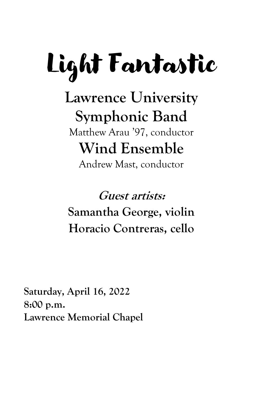# Light Fantastic

# **Lawrence University Symphonic Band**

Matthew Arau '97, conductor **Wind Ensemble**

Andrew Mast, conductor

**Guest artists: Samantha George, violin Horacio Contreras, cello**

**Saturday, April 16, 2022 8:00 p.m. Lawrence Memorial Chapel**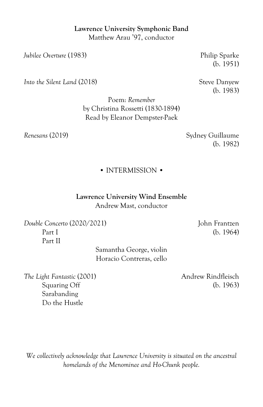# **Lawrence University Symphonic Band** Matthew Arau '97, conductor

*Jubilee Overture* (1983) Philip Sparke

*Into the Silent Land* (2018) Steve Danyew

(b. 1951)

(b. 1983)

Poem: *Remember* by Christina Rossetti (1830-1894) Read by Eleanor Dempster-Paek

*Renesans* (2019) Sydney Guillaume (b. 1982)

### • INTERMISSION •

**Lawrence University Wind Ensemble** Andrew Mast, conductor

*Double Concerto* (2020/2021) John Frantzen Part I (b. 1964) Part II

Samantha George, violin Horacio Contreras, cello

**The Light Fantastic (2001)** Andrew Rindfleisch Sarabanding Do the Hustle

Squaring Off (b. 1963)

*We collectively acknowledge that Lawrence University is situated on the ancestral homelands of the Menominee and Ho-Chunk people.*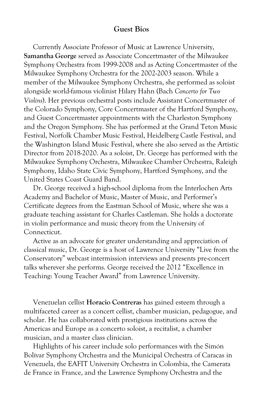# **Guest Bios**

Currently Associate Professor of Music at Lawrence University, **Samantha George** served as Associate Concertmaster of the Milwaukee Symphony Orchestra from 1999-2008 and as Acting Concertmaster of the Milwaukee Symphony Orchestra for the 2002-2003 season. While a member of the Milwaukee Symphony Orchestra, she performed as soloist alongside world-famous violinist Hilary Hahn (Bach *Concerto for Two Violins*). Her previous orchestral posts include Assistant Concertmaster of the Colorado Symphony, Core Concertmaster of the Hartford Symphony, and Guest Concertmaster appointments with the Charleston Symphony and the Oregon Symphony. She has performed at the Grand Teton Music Festival, Norfolk Chamber Music Festival, Heidelberg Castle Festival, and the Washington Island Music Festival, where she also served as the Artistic Director from 2018-2020. As a soloist, Dr. George has performed with the Milwaukee Symphony Orchestra, Milwaukee Chamber Orchestra, Raleigh Symphony, Idaho State Civic Symphony, Hartford Symphony, and the United States Coast Guard Band.

Dr. George received a high-school diploma from the Interlochen Arts Academy and Bachelor of Music, Master of Music, and Performer's Certificate degrees from the Eastman School of Music, where she was a graduate teaching assistant for Charles Castleman. She holds a doctorate in violin performance and music theory from the University of Connecticut.

Active as an advocate for greater understanding and appreciation of classical music, Dr. George is a host of Lawrence University "Live from the Conservatory" webcast intermission interviews and presents pre-concert talks wherever she performs. George received the 2012 "Excellence in Teaching: Young Teacher Award" from Lawrence University.

Venezuelan cellist **Horacio Contreras** has gained esteem through a multifaceted career as a concert cellist, chamber musician, pedagogue, and scholar. He has collaborated with prestigious institutions across the Americas and Europe as a concerto soloist, a recitalist, a chamber musician, and a master class clinician.

Highlights of his career include solo performances with the Simón Bolívar Symphony Orchestra and the Municipal Orchestra of Caracas in Venezuela, the EAFIT University Orchestra in Colombia, the Camerata de France in France, and the Lawrence Symphony Orchestra and the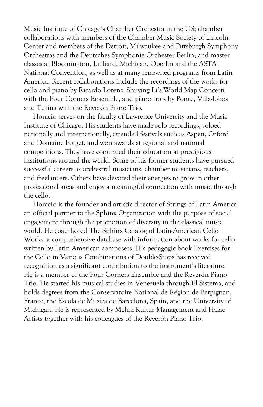Music Institute of Chicago's Chamber Orchestra in the US; chamber collaborations with members of the Chamber Music Society of Lincoln Center and members of the Detroit, Milwaukee and Pittsburgh Symphony Orchestras and the Deutsches Symphonie Orchester Berlin; and master classes at Bloomington, Juilliard, Michigan, Oberlin and the ASTA National Convention, as well as at many renowned programs from Latin America. Recent collaborations include the recordings of the works for cello and piano by Ricardo Lorenz, Shuying Li's World Map Concerti with the Four Corners Ensemble, and piano trios by Ponce, Villa-lobos and Turina with the Reverón Piano Trio.

Horacio serves on the faculty of Lawrence University and the Music Institute of Chicago. His students have made solo recordings, soloed nationally and internationally, attended festivals such as Aspen, Orford and Domaine Forget, and won awards at regional and national competitions. They have continued their education at prestigious institutions around the world. Some of his former students have pursued successful careers as orchestral musicians, chamber musicians, teachers, and freelancers. Others have devoted their energies to grow in other professional areas and enjoy a meaningful connection with music through the cello.

Horacio is the founder and artistic director of Strings of Latin America, an official partner to the Sphinx Organization with the purpose of social engagement through the promotion of diversity in the classical music world. He coauthored The Sphinx Catalog of Latin-American Cello Works, a comprehensive database with information about works for cello written by Latin American composers. His pedagogic book Exercises for the Cello in Various Combinations of Double-Stops has received recognition as a significant contribution to the instrument's literature. He is a member of the Four Corners Ensemble and the Reverón Piano Trio. He started his musical studies in Venezuela through El Sistema, and holds degrees from the Conservatoire National de Région de Perpignan, France, the Escola de Musica de Barcelona, Spain, and the University of Michigan. He is represented by Meluk Kultur Management and Halac Artists together with his colleagues of the Reverón Piano Trio.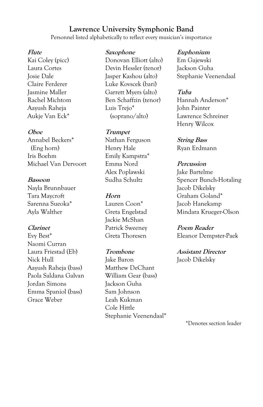# **Lawrence University Symphonic Band**

Personnel listed alphabetically to reflect every musician's importance

#### **Flute**

Kai Coley (picc) Laura Cortes Josie Dale Claire Ferderer Jasmine Maller Rachel Michtom Aayush Raheja Aukje Van Eck\*

#### **Oboe**

Annabel Beckers\* (Eng horn) Iris Boehm Michael Van Dervoort

#### **Bassoon**

Nayla Brunnbauer Tara Maycroft Sarenna Sueoka\* Ayla Walther

#### **Clarinet**

Evy Best\* Naomi Curran Laura Friestad (Eb) Nick Hull Aayush Raheja (bass) Paola Saldana Galvan Jordan Simons Emma Spaniol (bass) Grace Weber

#### **Saxophone**

Donovan Elliott (alto) Devin Hessler (tenor) Jasper Kashou (alto) Luke Kovscek (bari) Garrett Myers (alto) Ben Schaffzin (tenor) Luis Trejo\* (soprano/alto)

#### **Trumpet**

Nathan Ferguson Henry Hale Emily Kampstra\* Emma Nord Alex Poplawski Sudha Schultz

#### **Horn**

Lauren Coon\* Greta Engelstad Jackie McShan Patrick Sweeney Greta Thoresen

#### **Trombone**

Jake Baron Matthew DeChant William Gear (bass) Jackson Guha Sam Johnson Leah Kukman Cole Hittle Stephanie Veenendaal\*

#### **Euphonium**

Em Gajewski Jackson Guha Stephanie Veenendaal

#### **Tuba**

Hannah Anderson\* John Painter Lawrence Schreiner Henry Wilcox

**String Bass** Ryan Erdmann

#### **Percussion**

Jake Bartelme Spencer Bunch-Hotaling Jacob Dikelsky Graham Goland\* Jacob Hanekamp Mindara Krueger-Olson

#### **Poem Reader**

Eleanor Dempster-Paek

#### **Assistant Director**

Jacob Dikelsky

\*Denotes section leader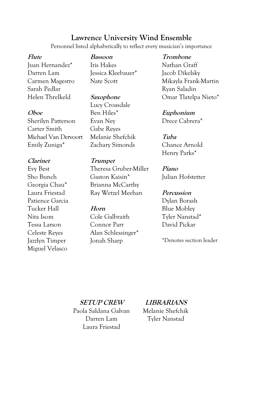# **Lawrence University Wind Ensemble**

Personnel listed alphabetically to reflect every musician's importance

#### **Flute**

Juan Hernandez\* Darren Lam Carmen Magestro Sarah Pedlar Helen Threlkeld

#### **Oboe**

Sherilyn Patterson Carter Smith Michael Van Dervoort Emily Zuniga\*

#### **Clarinet**

Evy Best Sho Bunch Georgia Chau\* Laura Friestad Patience Garcia Tucker Hall Nita Isom Tessa Larson Celeste Reyes Jazzlyn Timper Miguel Velasco

**Bassoon** Iris Hakes Jessica Kleebauer\* Nate Scott

**Saxophone** Lucy Croasdale Ben Hiles\* Evan Ney Gabe Reyes Melanie Shefchik Zachary Simonds

#### **Trumpet**

Theresa Gruber-Miller Gaston Kaisin\* Brianna McCarthy Ray Wetzel Meehan

#### **Horn**

Cole Galbraith Connor Parr Alan Schlessinger\* Jonah Sharp

**Trombone** Nathan Graff Jacob Dikelsky Mikayla Frank-Martin Ryan Saladin Omar Tlatelpa Nieto\*

**Euphonium** Drece Cabrera\*

**Tuba** Chance Arnold Henry Parks\*

**Piano** Julian Hofstetter

#### **Percussion**

Dylan Borash Blue Mobley Tyler Nanstad\* David Pickar

\*Denotes section leader

#### **SETUP CREW**

Paola Saldana Galvan Darren Lam Laura Friestad

#### **LIBRARIANS**

Melanie Shefchik Tyler Nanstad